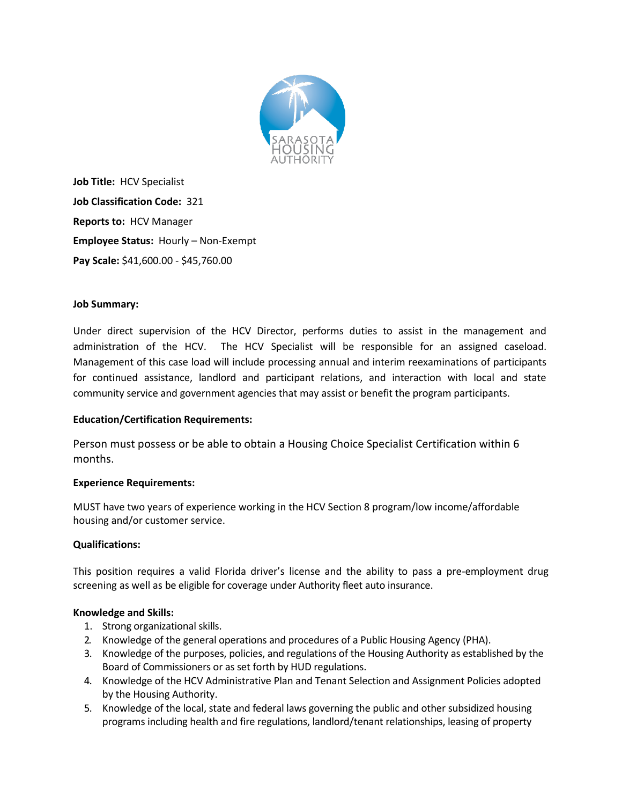

**Job Title:** HCV Specialist **Job Classification Code:** 321 **Reports to:** HCV Manager **Employee Status:** Hourly – Non-Exempt **Pay Scale:** \$41,600.00 - \$45,760.00

# **Job Summary:**

Under direct supervision of the HCV Director, performs duties to assist in the management and administration of the HCV. The HCV Specialist will be responsible for an assigned caseload. Management of this case load will include processing annual and interim reexaminations of participants for continued assistance, landlord and participant relations, and interaction with local and state community service and government agencies that may assist or benefit the program participants.

## **Education/Certification Requirements:**

Person must possess or be able to obtain a Housing Choice Specialist Certification within 6 months.

## **Experience Requirements:**

MUST have two years of experience working in the HCV Section 8 program/low income/affordable housing and/or customer service.

## **Qualifications:**

This position requires a valid Florida driver's license and the ability to pass a pre-employment drug screening as well as be eligible for coverage under Authority fleet auto insurance.

## **Knowledge and Skills:**

- 1. Strong organizational skills.
- 2. Knowledge of the general operations and procedures of a Public Housing Agency (PHA).
- 3. Knowledge of the purposes, policies, and regulations of the Housing Authority as established by the Board of Commissioners or as set forth by HUD regulations.
- 4. Knowledge of the HCV Administrative Plan and Tenant Selection and Assignment Policies adopted by the Housing Authority.
- 5. Knowledge of the local, state and federal laws governing the public and other subsidized housing programs including health and fire regulations, landlord/tenant relationships, leasing of property